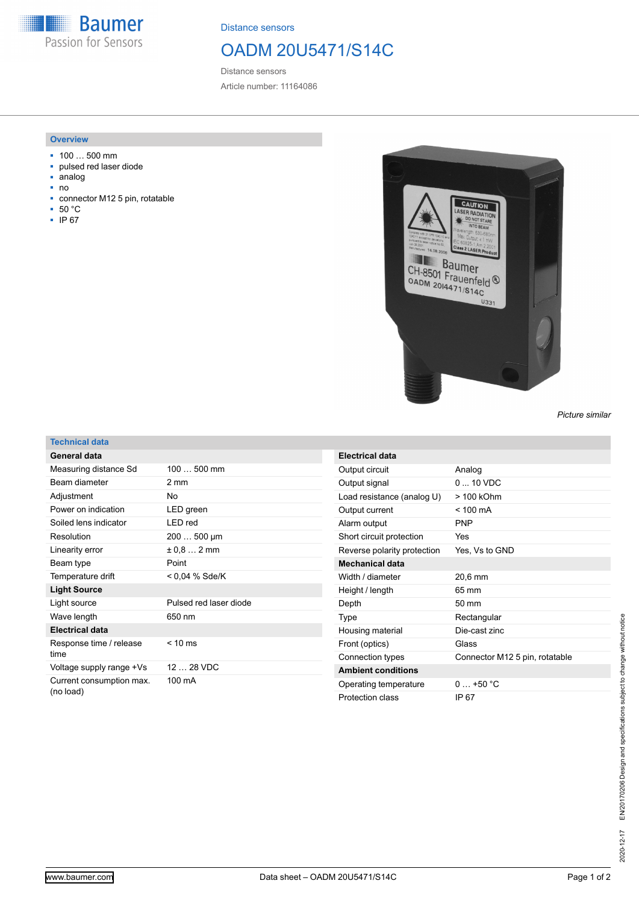**Baumer All** Passion for Sensors

Distance sensors

## OADM 20U5471/S14C

Distance sensors Article number: 11164086

## **Overview**

- 100 … 500 mm
- pulsed red laser diode
- analog
- no
- connector M12 5 pin, rotatable
- 50 °C
- IP 67



*Picture similar*

## **Technical data**

| General data                          |                        |
|---------------------------------------|------------------------|
| Measuring distance Sd                 | 100  500 mm            |
| Beam diameter                         | 2 mm                   |
| Adjustment                            | No                     |
| Power on indication                   | LED green              |
| Soiled lens indicator                 | LED red                |
| Resolution                            | 200  500 µm            |
| Linearity error                       | $\pm$ 0.8 $\dots$ 2 mm |
| Beam type                             | Point                  |
| Temperature drift                     | < 0.04 % Sde/K         |
| <b>Light Source</b>                   |                        |
| Light source                          | Pulsed red laser diode |
| Wave length                           | 650 nm                 |
| <b>Electrical data</b>                |                        |
| Response time / release<br>time       | $< 10 \text{ ms}$      |
| Voltage supply range +Vs              | 12  28 VDC             |
| Current consumption max.<br>(no load) | 100 mA                 |

| Electrical data             |                                |
|-----------------------------|--------------------------------|
| Output circuit              | Analog                         |
| Output signal               | $0 \dots 10 \text{ VDC}$       |
| Load resistance (analog U)  | > 100 kOhm                     |
| Output current              | $< 100 \text{ mA}$             |
| Alarm output                | <b>PNP</b>                     |
| Short circuit protection    | Yes                            |
| Reverse polarity protection | Yes, Vs to GND                 |
| <b>Mechanical data</b>      |                                |
| Width / diameter            | 20,6 mm                        |
| Height / length             | 65 mm                          |
| Depth                       | 50 mm                          |
| Type                        | Rectangular                    |
| Housing material            | Die-cast zinc                  |
| Front (optics)              | Glass                          |
| Connection types            | Connector M12 5 pin, rotatable |
| <b>Ambient conditions</b>   |                                |
| Operating temperature       | $0+50 °C$                      |
| Protection class            | IP 67                          |